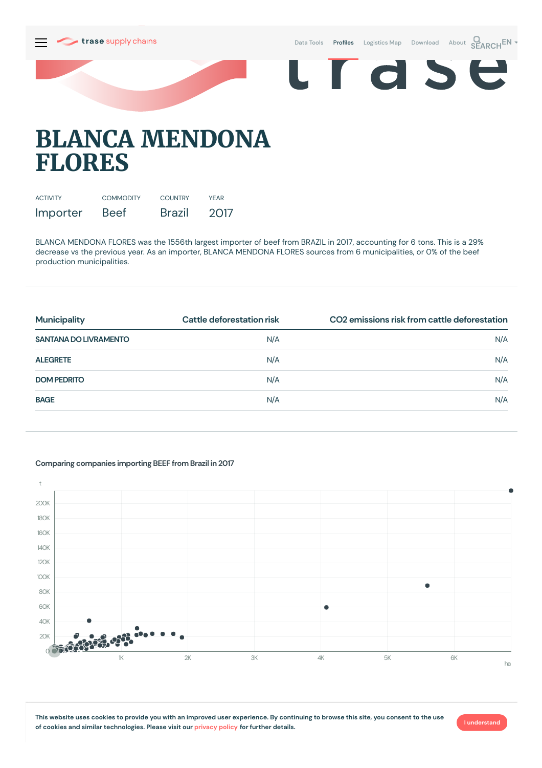

d S



E

# **BLANCA MENDONA FLORES**

| <b>ACTIVITY</b> | <b>COMMODITY</b> | <b>COUNTRY</b> | YFAR |
|-----------------|------------------|----------------|------|
| Importer        | <b>Beef</b>      | Brazil         | 2017 |

BLANCA MENDONA FLORES was the 1556th largest importer of beef from BRAZIL in 2017, accounting for 6 tons. This is a 29% decrease vs the previous year. As an importer, BLANCA MENDONA FLORES sources from 6 municipalities, or 0% of the beef production municipalities.

| <b>Municipality</b>          | CO2 emissions risk from cattle deforestation<br>Cattle deforestation risk |     |
|------------------------------|---------------------------------------------------------------------------|-----|
| <b>SANTANA DO LIVRAMENTO</b> | N/A                                                                       | N/A |
| <b>ALEGRETE</b>              | N/A                                                                       | N/A |
| <b>DOM PEDRITO</b>           | N/A                                                                       | N/A |
| <b>BAGE</b>                  | N/A                                                                       | N/A |

### t  $200K$ 180K 160K 140K 120K 100K ٠ 80K 60K  $\triangle$ OK  $20K$  $\bigcap$ 1K 3K 3K 4K 5K 6K 6K ha

#### **Comparing companies importing BEEF from Brazil in 2017**

This website uses cookies to provide you with an improved user experience. By continuing to browse this site, you consent to the use **of cookies and similar technologies. Please visit our [privacy](https://www.trase.earth/privacy-policy) policy for further details.**

**I understand**